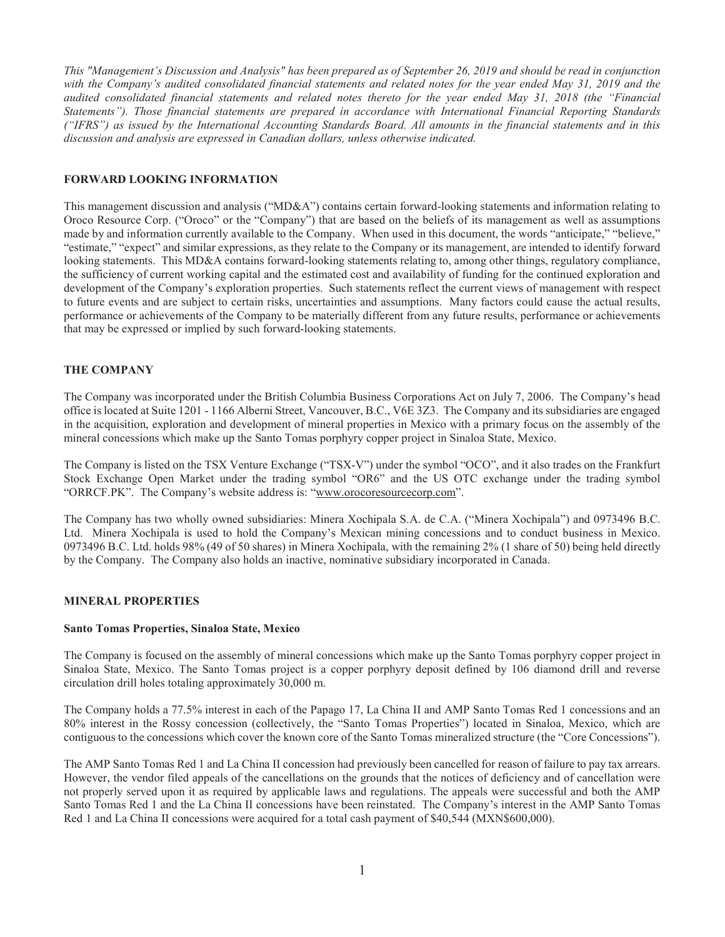*This "Management's Discussion and Analysis" has been prepared as of September 26, 2019 and should be read in conjunction with the Company's audited consolidated financial statements and related notes for the year ended May 31, 2019 and the audited consolidated financial statements and related notes thereto for the year ended May 31, 2018 (the "Financial Statements"). Those financial statements are prepared in accordance with International Financial Reporting Standards ("IFRS") as issued by the International Accounting Standards Board. All amounts in the financial statements and in this discussion and analysis are expressed in Canadian dollars, unless otherwise indicated.* 

## FORWARD LOOKING INFORMATION

This management discussion and analysis ("MD&A") contains certain forward-looking statements and information relating to Oroco Resource Corp. ("Oroco" or the "Company") that are based on the beliefs of its management as well as assumptions made by and information currently available to the Company. When used in this document, the words "anticipate," "believe," "estimate," "expect" and similar expressions, as they relate to the Company or its management, are intended to identify forward looking statements. This MD&A contains forward-looking statements relating to, among other things, regulatory compliance, the sufficiency of current working capital and the estimated cost and availability of funding for the continued exploration and development of the Company's exploration properties. Such statements reflect the current views of management with respect to future events and are subject to certain risks, uncertainties and assumptions. Many factors could cause the actual results, performance or achievements of the Company to be materially different from any future results, performance or achievements that may be expressed or implied by such forward-looking statements.

## THE COMPANY

The Company was incorporated under the British Columbia Business Corporations Act on July 7, 2006. The Company's head office is located at Suite 1201 - 1166 Alberni Street, Vancouver, B.C., V6E 3Z3. The Company and its subsidiaries are engaged in the acquisition, exploration and development of mineral properties in Mexico with a primary focus on the assembly of the mineral concessions which make up the Santo Tomas porphyry copper project in Sinaloa State, Mexico.

The Company is listed on the TSX Venture Exchange ("TSX-V") under the symbol "OCO", and it also trades on the Frankfurt Stock Exchange Open Market under the trading symbol "OR6" and the US OTC exchange under the trading symbol "ORRCF.PK". The Company's website address is: "www.orocoresourcecorp.com".

The Company has two wholly owned subsidiaries: Minera Xochipala S.A. de C.A. ("Minera Xochipala") and 0973496 B.C. Ltd. Minera Xochipala is used to hold the Company's Mexican mining concessions and to conduct business in Mexico. 0973496 B.C. Ltd. holds 98% (49 of 50 shares) in Minera Xochipala, with the remaining 2% (1 share of 50) being held directly by the Company. The Company also holds an inactive, nominative subsidiary incorporated in Canada.

## MINERAL PROPERTIES

### Santo Tomas Properties, Sinaloa State, Mexico

The Company is focused on the assembly of mineral concessions which make up the Santo Tomas porphyry copper project in Sinaloa State, Mexico. The Santo Tomas project is a copper porphyry deposit defined by 106 diamond drill and reverse circulation drill holes totaling approximately 30,000 m.

The Company holds a 77.5% interest in each of the Papago 17, La China II and AMP Santo Tomas Red 1 concessions and an 80% interest in the Rossy concession (collectively, the "Santo Tomas Properties") located in Sinaloa, Mexico, which are contiguous to the concessions which cover the known core of the Santo Tomas mineralized structure (the "Core Concessions").

The AMP Santo Tomas Red 1 and La China II concession had previously been cancelled for reason of failure to pay tax arrears. However, the vendor filed appeals of the cancellations on the grounds that the notices of deficiency and of cancellation were not properly served upon it as required by applicable laws and regulations. The appeals were successful and both the AMP Santo Tomas Red 1 and the La China II concessions have been reinstated. The Company's interest in the AMP Santo Tomas Red 1 and La China II concessions were acquired for a total cash payment of \$40,544 (MXN\$600,000).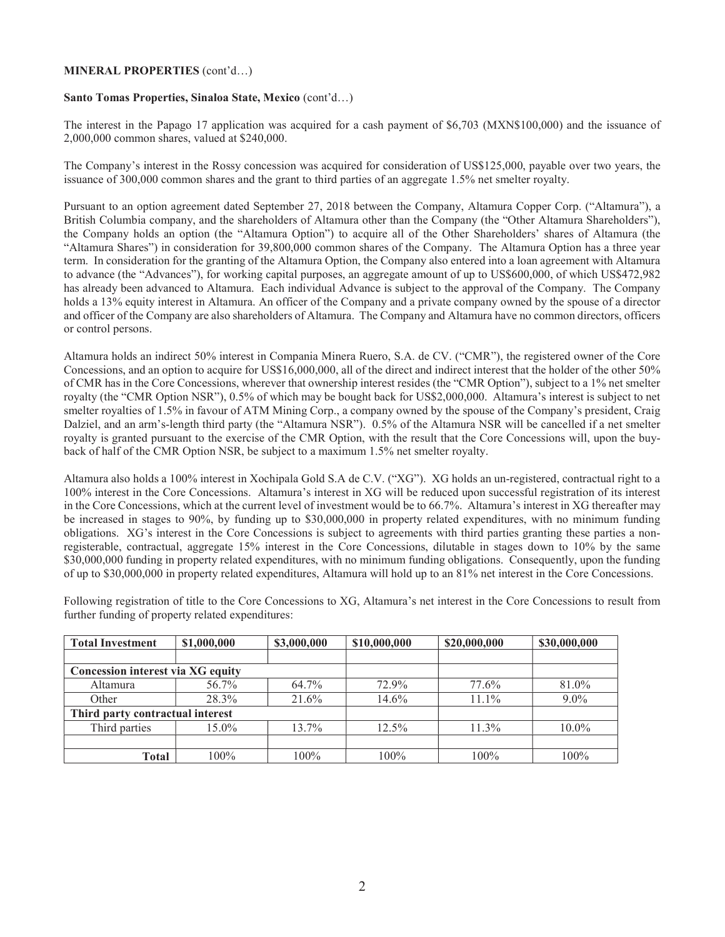### MINERAL PROPERTIES (cont'd…)

### Santo Tomas Properties, Sinaloa State, Mexico (cont'd…)

The interest in the Papago 17 application was acquired for a cash payment of \$6,703 (MXN\$100,000) and the issuance of 2,000,000 common shares, valued at \$240,000.

The Company's interest in the Rossy concession was acquired for consideration of US\$125,000, payable over two years, the issuance of 300,000 common shares and the grant to third parties of an aggregate 1.5% net smelter royalty.

Pursuant to an option agreement dated September 27, 2018 between the Company, Altamura Copper Corp. ("Altamura"), a British Columbia company, and the shareholders of Altamura other than the Company (the "Other Altamura Shareholders"), the Company holds an option (the "Altamura Option") to acquire all of the Other Shareholders' shares of Altamura (the "Altamura Shares") in consideration for 39,800,000 common shares of the Company. The Altamura Option has a three year term. In consideration for the granting of the Altamura Option, the Company also entered into a loan agreement with Altamura to advance (the "Advances"), for working capital purposes, an aggregate amount of up to US\$600,000, of which US\$472,982 has already been advanced to Altamura. Each individual Advance is subject to the approval of the Company. The Company holds a 13% equity interest in Altamura. An officer of the Company and a private company owned by the spouse of a director and officer of the Company are also shareholders of Altamura. The Company and Altamura have no common directors, officers or control persons.

Altamura holds an indirect 50% interest in Compania Minera Ruero, S.A. de CV. ("CMR"), the registered owner of the Core Concessions, and an option to acquire for US\$16,000,000, all of the direct and indirect interest that the holder of the other 50% of CMR has in the Core Concessions, wherever that ownership interest resides (the "CMR Option"), subject to a 1% net smelter royalty (the "CMR Option NSR"), 0.5% of which may be bought back for US\$2,000,000. Altamura's interest is subject to net smelter royalties of 1.5% in favour of ATM Mining Corp., a company owned by the spouse of the Company's president, Craig Dalziel, and an arm's-length third party (the "Altamura NSR"). 0.5% of the Altamura NSR will be cancelled if a net smelter royalty is granted pursuant to the exercise of the CMR Option, with the result that the Core Concessions will, upon the buyback of half of the CMR Option NSR, be subject to a maximum 1.5% net smelter royalty.

Altamura also holds a 100% interest in Xochipala Gold S.A de C.V. ("XG"). XG holds an un-registered, contractual right to a 100% interest in the Core Concessions. Altamura's interest in XG will be reduced upon successful registration of its interest in the Core Concessions, which at the current level of investment would be to 66.7%. Altamura's interest in XG thereafter may be increased in stages to 90%, by funding up to \$30,000,000 in property related expenditures, with no minimum funding obligations. XG's interest in the Core Concessions is subject to agreements with third parties granting these parties a nonregisterable, contractual, aggregate 15% interest in the Core Concessions, dilutable in stages down to 10% by the same \$30,000,000 funding in property related expenditures, with no minimum funding obligations. Consequently, upon the funding of up to \$30,000,000 in property related expenditures, Altamura will hold up to an 81% net interest in the Core Concessions.

| <b>Total Investment</b>           | \$1,000,000 | \$3,000,000 | \$10,000,000 | \$20,000,000 | \$30,000,000 |
|-----------------------------------|-------------|-------------|--------------|--------------|--------------|
| Concession interest via XG equity |             |             |              |              |              |
| Altamura                          | 56.7%       | 64.7%       | 72.9%        | 77.6%        | 81.0%        |
| Other                             | 28.3%       | 21.6%       | 14.6%        | $11.1\%$     | $9.0\%$      |
| Third party contractual interest  |             |             |              |              |              |
| Third parties                     | 15.0%       | 13.7%       | $12.5\%$     | $11.3\%$     | $10.0\%$     |
|                                   |             |             |              |              |              |
| <b>Total</b>                      | $100\%$     | $100\%$     | $100\%$      | $100\%$      | $100\%$      |

Following registration of title to the Core Concessions to XG, Altamura's net interest in the Core Concessions to result from further funding of property related expenditures: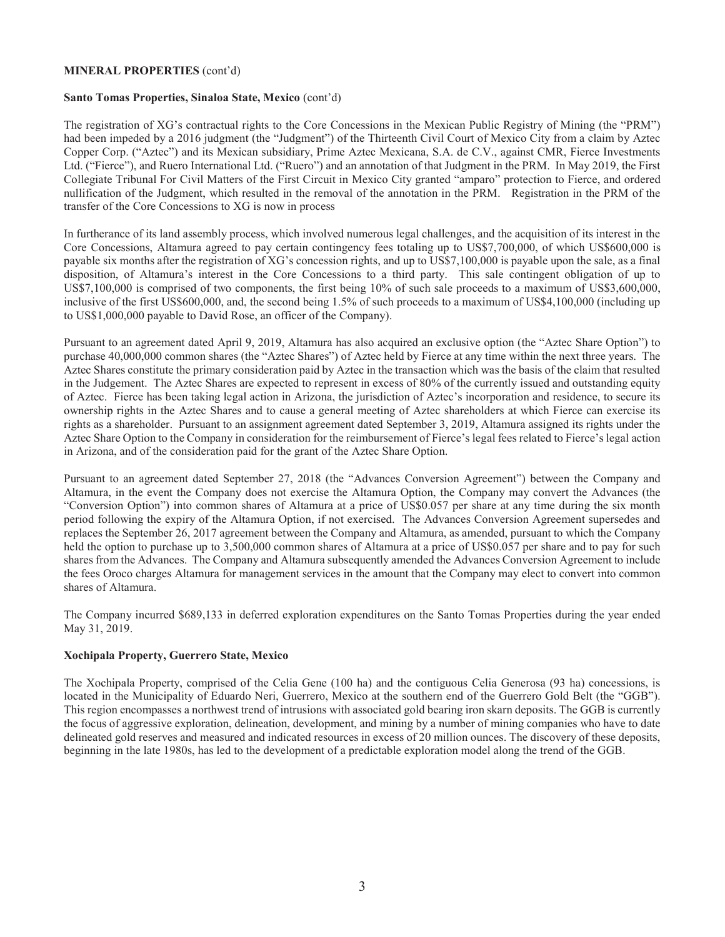## MINERAL PROPERTIES (cont'd)

### Santo Tomas Properties, Sinaloa State, Mexico (cont'd)

The registration of XG's contractual rights to the Core Concessions in the Mexican Public Registry of Mining (the "PRM") had been impeded by a 2016 judgment (the "Judgment") of the Thirteenth Civil Court of Mexico City from a claim by Aztec Copper Corp. ("Aztec") and its Mexican subsidiary, Prime Aztec Mexicana, S.A. de C.V., against CMR, Fierce Investments Ltd. ("Fierce"), and Ruero International Ltd. ("Ruero") and an annotation of that Judgment in the PRM. In May 2019, the First Collegiate Tribunal For Civil Matters of the First Circuit in Mexico City granted "amparo" protection to Fierce, and ordered nullification of the Judgment, which resulted in the removal of the annotation in the PRM. Registration in the PRM of the transfer of the Core Concessions to XG is now in process

In furtherance of its land assembly process, which involved numerous legal challenges, and the acquisition of its interest in the Core Concessions, Altamura agreed to pay certain contingency fees totaling up to US\$7,700,000, of which US\$600,000 is payable six months after the registration of XG's concession rights, and up to US\$7,100,000 is payable upon the sale, as a final disposition, of Altamura's interest in the Core Concessions to a third party. This sale contingent obligation of up to US\$7,100,000 is comprised of two components, the first being 10% of such sale proceeds to a maximum of US\$3,600,000, inclusive of the first US\$600,000, and, the second being 1.5% of such proceeds to a maximum of US\$4,100,000 (including up to US\$1,000,000 payable to David Rose, an officer of the Company).

Pursuant to an agreement dated April 9, 2019, Altamura has also acquired an exclusive option (the "Aztec Share Option") to purchase 40,000,000 common shares (the "Aztec Shares") of Aztec held by Fierce at any time within the next three years. The Aztec Shares constitute the primary consideration paid by Aztec in the transaction which was the basis of the claim that resulted in the Judgement. The Aztec Shares are expected to represent in excess of 80% of the currently issued and outstanding equity of Aztec. Fierce has been taking legal action in Arizona, the jurisdiction of Aztec's incorporation and residence, to secure its ownership rights in the Aztec Shares and to cause a general meeting of Aztec shareholders at which Fierce can exercise its rights as a shareholder. Pursuant to an assignment agreement dated September 3, 2019, Altamura assigned its rights under the Aztec Share Option to the Company in consideration for the reimbursement of Fierce's legal fees related to Fierce's legal action in Arizona, and of the consideration paid for the grant of the Aztec Share Option.

Pursuant to an agreement dated September 27, 2018 (the "Advances Conversion Agreement") between the Company and Altamura, in the event the Company does not exercise the Altamura Option, the Company may convert the Advances (the "Conversion Option") into common shares of Altamura at a price of US\$0.057 per share at any time during the six month period following the expiry of the Altamura Option, if not exercised. The Advances Conversion Agreement supersedes and replaces the September 26, 2017 agreement between the Company and Altamura, as amended, pursuant to which the Company held the option to purchase up to 3,500,000 common shares of Altamura at a price of US\$0.057 per share and to pay for such shares from the Advances. The Company and Altamura subsequently amended the Advances Conversion Agreement to include the fees Oroco charges Altamura for management services in the amount that the Company may elect to convert into common shares of Altamura.

The Company incurred \$689,133 in deferred exploration expenditures on the Santo Tomas Properties during the year ended May 31, 2019.

### Xochipala Property, Guerrero State, Mexico

The Xochipala Property, comprised of the Celia Gene (100 ha) and the contiguous Celia Generosa (93 ha) concessions, is located in the Municipality of Eduardo Neri, Guerrero, Mexico at the southern end of the Guerrero Gold Belt (the "GGB"). This region encompasses a northwest trend of intrusions with associated gold bearing iron skarn deposits. The GGB is currently the focus of aggressive exploration, delineation, development, and mining by a number of mining companies who have to date delineated gold reserves and measured and indicated resources in excess of 20 million ounces. The discovery of these deposits, beginning in the late 1980s, has led to the development of a predictable exploration model along the trend of the GGB.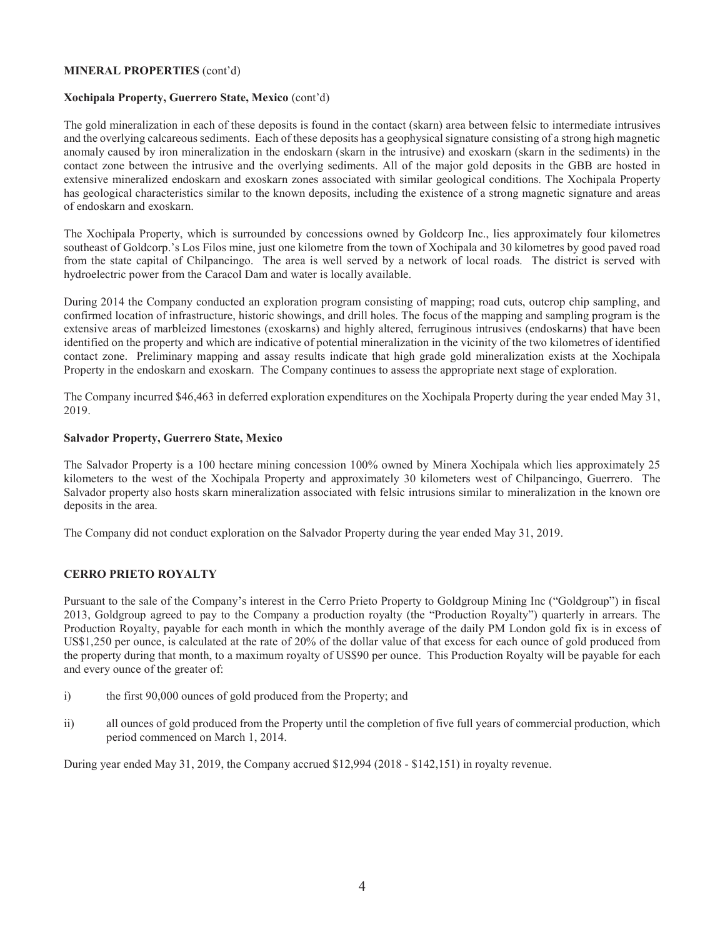## MINERAL PROPERTIES (cont'd)

## Xochipala Property, Guerrero State, Mexico (cont'd)

The gold mineralization in each of these deposits is found in the contact (skarn) area between felsic to intermediate intrusives and the overlying calcareous sediments. Each of these deposits has a geophysical signature consisting of a strong high magnetic anomaly caused by iron mineralization in the endoskarn (skarn in the intrusive) and exoskarn (skarn in the sediments) in the contact zone between the intrusive and the overlying sediments. All of the major gold deposits in the GBB are hosted in extensive mineralized endoskarn and exoskarn zones associated with similar geological conditions. The Xochipala Property has geological characteristics similar to the known deposits, including the existence of a strong magnetic signature and areas of endoskarn and exoskarn.

The Xochipala Property, which is surrounded by concessions owned by Goldcorp Inc., lies approximately four kilometres southeast of Goldcorp.'s Los Filos mine, just one kilometre from the town of Xochipala and 30 kilometres by good paved road from the state capital of Chilpancingo. The area is well served by a network of local roads. The district is served with hydroelectric power from the Caracol Dam and water is locally available.

During 2014 the Company conducted an exploration program consisting of mapping; road cuts, outcrop chip sampling, and confirmed location of infrastructure, historic showings, and drill holes. The focus of the mapping and sampling program is the extensive areas of marbleized limestones (exoskarns) and highly altered, ferruginous intrusives (endoskarns) that have been identified on the property and which are indicative of potential mineralization in the vicinity of the two kilometres of identified contact zone. Preliminary mapping and assay results indicate that high grade gold mineralization exists at the Xochipala Property in the endoskarn and exoskarn. The Company continues to assess the appropriate next stage of exploration.

The Company incurred \$46,463 in deferred exploration expenditures on the Xochipala Property during the year ended May 31, 2019.

## Salvador Property, Guerrero State, Mexico

The Salvador Property is a 100 hectare mining concession 100% owned by Minera Xochipala which lies approximately 25 kilometers to the west of the Xochipala Property and approximately 30 kilometers west of Chilpancingo, Guerrero. The Salvador property also hosts skarn mineralization associated with felsic intrusions similar to mineralization in the known ore deposits in the area.

The Company did not conduct exploration on the Salvador Property during the year ended May 31, 2019.

# CERRO PRIETO ROYALTY

Pursuant to the sale of the Company's interest in the Cerro Prieto Property to Goldgroup Mining Inc ("Goldgroup") in fiscal 2013, Goldgroup agreed to pay to the Company a production royalty (the "Production Royalty") quarterly in arrears. The Production Royalty, payable for each month in which the monthly average of the daily PM London gold fix is in excess of US\$1,250 per ounce, is calculated at the rate of 20% of the dollar value of that excess for each ounce of gold produced from the property during that month, to a maximum royalty of US\$90 per ounce. This Production Royalty will be payable for each and every ounce of the greater of:

- i) the first 90,000 ounces of gold produced from the Property; and
- ii) all ounces of gold produced from the Property until the completion of five full years of commercial production, which period commenced on March 1, 2014.

During year ended May 31, 2019, the Company accrued \$12,994 (2018 - \$142,151) in royalty revenue.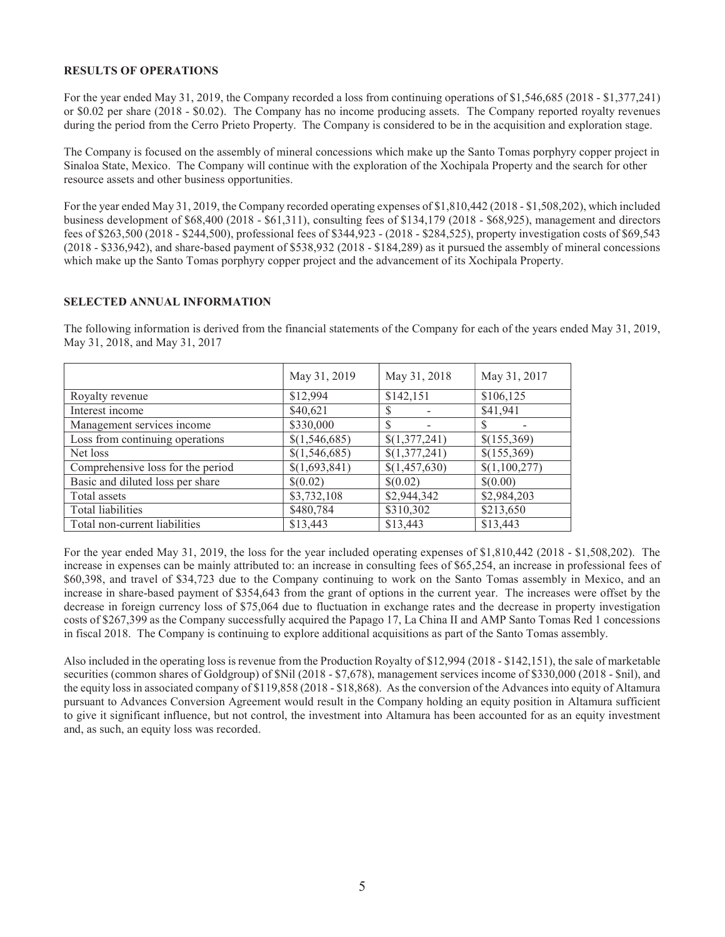## RESULTS OF OPERATIONS

For the year ended May 31, 2019, the Company recorded a loss from continuing operations of \$1,546,685 (2018 - \$1,377,241) or \$0.02 per share (2018 - \$0.02). The Company has no income producing assets. The Company reported royalty revenues during the period from the Cerro Prieto Property. The Company is considered to be in the acquisition and exploration stage.

The Company is focused on the assembly of mineral concessions which make up the Santo Tomas porphyry copper project in Sinaloa State, Mexico. The Company will continue with the exploration of the Xochipala Property and the search for other resource assets and other business opportunities.

For the year ended May 31, 2019, the Company recorded operating expenses of \$1,810,442 (2018 - \$1,508,202), which included business development of \$68,400 (2018 - \$61,311), consulting fees of \$134,179 (2018 - \$68,925), management and directors fees of \$263,500 (2018 - \$244,500), professional fees of \$344,923 - (2018 - \$284,525), property investigation costs of \$69,543 (2018 - \$336,942), and share-based payment of \$538,932 (2018 - \$184,289) as it pursued the assembly of mineral concessions which make up the Santo Tomas porphyry copper project and the advancement of its Xochipala Property.

# SELECTED ANNUAL INFORMATION

The following information is derived from the financial statements of the Company for each of the years ended May 31, 2019, May 31, 2018, and May 31, 2017

|                                   | May 31, 2019  | May 31, 2018  | May 31, 2017  |
|-----------------------------------|---------------|---------------|---------------|
| Royalty revenue                   | \$12,994      | \$142,151     | \$106,125     |
| Interest income                   | \$40,621      | S             | \$41,941      |
| Management services income        | \$330,000     |               |               |
| Loss from continuing operations   | \$(1,546,685) | \$(1,377,241) | \$(155,369)   |
| Net loss                          | \$(1,546,685) | \$(1,377,241) | \$(155,369)   |
| Comprehensive loss for the period | \$(1,693,841) | \$(1,457,630) | \$(1,100,277) |
| Basic and diluted loss per share  | \$(0.02)      | \$(0.02)      | \$(0.00)      |
| Total assets                      | \$3,732,108   | \$2,944,342   | \$2,984,203   |
| Total liabilities                 | \$480,784     | \$310,302     | \$213,650     |
| Total non-current liabilities     | \$13,443      | \$13,443      | \$13,443      |

For the year ended May 31, 2019, the loss for the year included operating expenses of \$1,810,442 (2018 - \$1,508,202). The increase in expenses can be mainly attributed to: an increase in consulting fees of \$65,254, an increase in professional fees of \$60,398, and travel of \$34,723 due to the Company continuing to work on the Santo Tomas assembly in Mexico, and an increase in share-based payment of \$354,643 from the grant of options in the current year. The increases were offset by the decrease in foreign currency loss of \$75,064 due to fluctuation in exchange rates and the decrease in property investigation costs of \$267,399 as the Company successfully acquired the Papago 17, La China II and AMP Santo Tomas Red 1 concessions in fiscal 2018. The Company is continuing to explore additional acquisitions as part of the Santo Tomas assembly.

Also included in the operating loss is revenue from the Production Royalty of \$12,994 (2018 - \$142,151), the sale of marketable securities (common shares of Goldgroup) of \$Nil (2018 - \$7,678), management services income of \$330,000 (2018 - \$nil), and the equity loss in associated company of \$119,858 (2018 - \$18,868). As the conversion of the Advances into equity of Altamura pursuant to Advances Conversion Agreement would result in the Company holding an equity position in Altamura sufficient to give it significant influence, but not control, the investment into Altamura has been accounted for as an equity investment and, as such, an equity loss was recorded.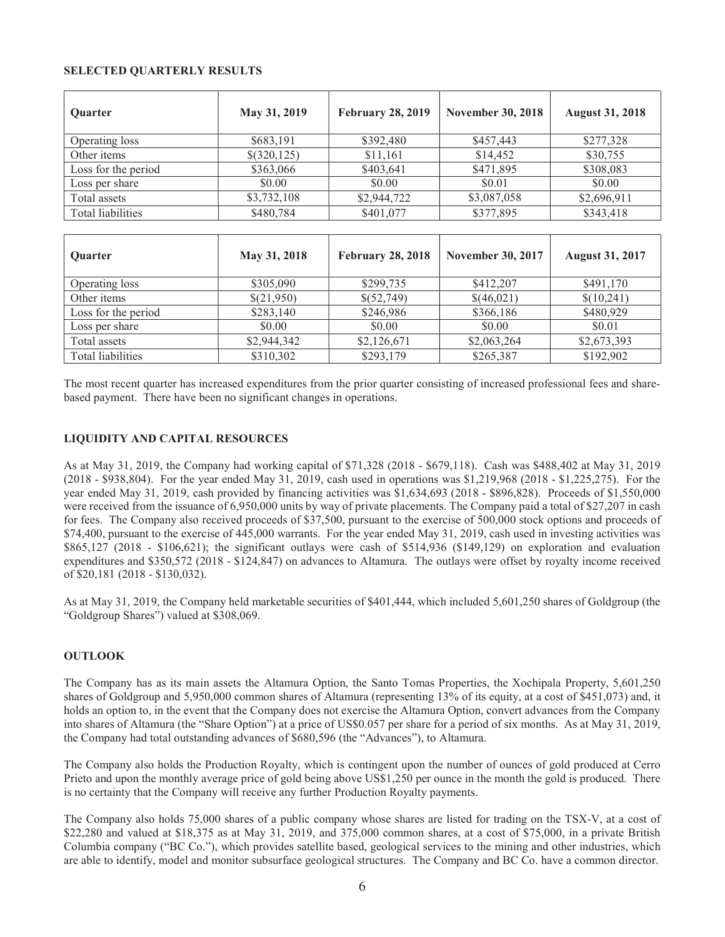## SELECTED QUARTERLY RESULTS

| Quarter                  | May 31, 2019 | <b>February 28, 2019</b> | <b>November 30, 2018</b> | <b>August 31, 2018</b> |
|--------------------------|--------------|--------------------------|--------------------------|------------------------|
| Operating loss           | \$683,191    | \$392,480                | \$457,443                | \$277,328              |
| Other items              | \$(320,125)  | \$11,161                 | \$14,452                 | \$30,755               |
| Loss for the period      | \$363,066    | \$403,641                | \$471,895                | \$308,083              |
| Loss per share           | \$0.00       | \$0.00                   | \$0.01                   | \$0.00                 |
| Total assets             | \$3,732,108  | \$2,944,722              | \$3,087,058              | \$2,696,911            |
| Total liabilities        | \$480,784    | \$401,077                | \$377,895                | \$343,418              |
|                          |              |                          |                          |                        |
| Quarter                  | May 31, 2018 | <b>February 28, 2018</b> | <b>November 30, 2017</b> | <b>August 31, 2017</b> |
| Operating loss           | \$305,090    | \$299,735                | \$412,207                | \$491,170              |
| Other items              | \$(21,950)   | \$(52,749)               | \$(46,021)               | \$(10,241)             |
| Loss for the period      | \$283,140    | \$246,986                | \$366,186                | \$480,929              |
| Loss per share           | \$0.00       | \$0.00                   | \$0.00                   | \$0.01                 |
| Total assets             | \$2,944,342  | \$2,126,671              | \$2,063,264              | \$2,673,393            |
| <b>Total liabilities</b> | \$310,302    | \$293,179                | \$265,387                | \$192,902              |

The most recent quarter has increased expenditures from the prior quarter consisting of increased professional fees and sharebased payment. There have been no significant changes in operations.

# LIQUIDITY AND CAPITAL RESOURCES

As at May 31, 2019, the Company had working capital of \$71,328 (2018 - \$679,118). Cash was \$488,402 at May 31, 2019 (2018 - \$938,804). For the year ended May 31, 2019, cash used in operations was \$1,219,968 (2018 - \$1,225,275). For the year ended May 31, 2019, cash provided by financing activities was \$1,634,693 (2018 - \$896,828). Proceeds of \$1,550,000 were received from the issuance of 6,950,000 units by way of private placements. The Company paid a total of \$27,207 in cash for fees. The Company also received proceeds of \$37,500, pursuant to the exercise of 500,000 stock options and proceeds of \$74,400, pursuant to the exercise of 445,000 warrants. For the year ended May 31, 2019, cash used in investing activities was \$865,127 (2018 - \$106,621); the significant outlays were cash of \$514,936 (\$149,129) on exploration and evaluation expenditures and \$350,572 (2018 - \$124,847) on advances to Altamura. The outlays were offset by royalty income received of \$20,181 (2018 - \$130,032).

As at May 31, 2019, the Company held marketable securities of \$401,444, which included 5,601,250 shares of Goldgroup (the "Goldgroup Shares") valued at \$308,069.

# **OUTLOOK**

The Company has as its main assets the Altamura Option, the Santo Tomas Properties, the Xochipala Property, 5,601,250 shares of Goldgroup and 5,950,000 common shares of Altamura (representing 13% of its equity, at a cost of \$451,073) and, it holds an option to, in the event that the Company does not exercise the Altamura Option, convert advances from the Company into shares of Altamura (the "Share Option") at a price of US\$0.057 per share for a period of six months. As at May 31, 2019, the Company had total outstanding advances of \$680,596 (the "Advances"), to Altamura.

The Company also holds the Production Royalty, which is contingent upon the number of ounces of gold produced at Cerro Prieto and upon the monthly average price of gold being above US\$1,250 per ounce in the month the gold is produced. There is no certainty that the Company will receive any further Production Royalty payments.

The Company also holds 75,000 shares of a public company whose shares are listed for trading on the TSX-V, at a cost of \$22,280 and valued at \$18,375 as at May 31, 2019, and 375,000 common shares, at a cost of \$75,000, in a private British Columbia company ("BC Co."), which provides satellite based, geological services to the mining and other industries, which are able to identify, model and monitor subsurface geological structures. The Company and BC Co. have a common director.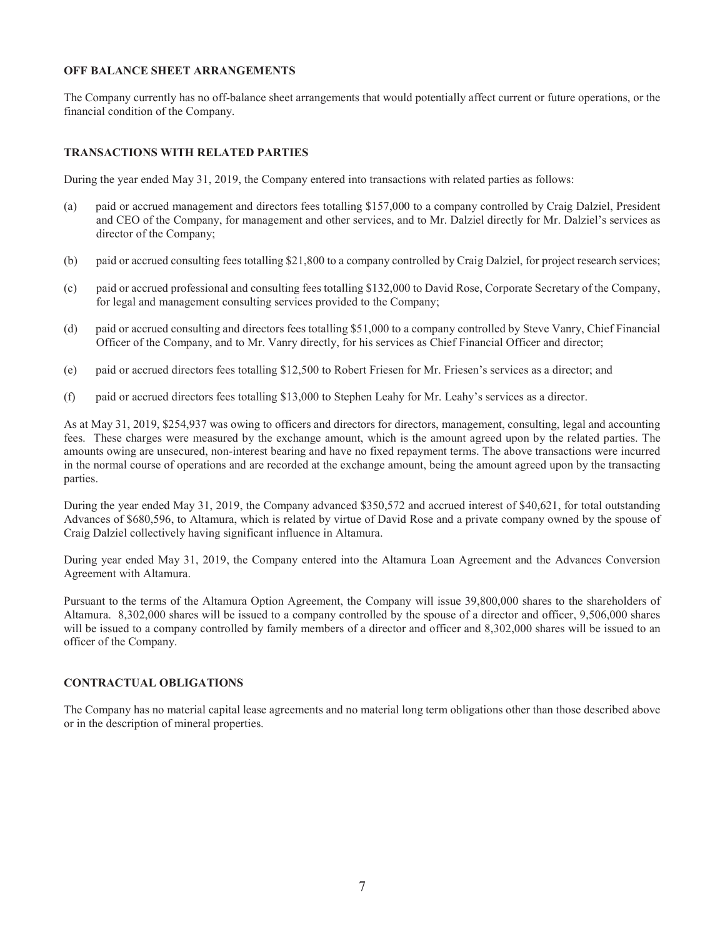## OFF BALANCE SHEET ARRANGEMENTS

The Company currently has no off-balance sheet arrangements that would potentially affect current or future operations, or the financial condition of the Company.

## TRANSACTIONS WITH RELATED PARTIES

During the year ended May 31, 2019, the Company entered into transactions with related parties as follows:

- (a) paid or accrued management and directors fees totalling \$157,000 to a company controlled by Craig Dalziel, President and CEO of the Company, for management and other services, and to Mr. Dalziel directly for Mr. Dalziel's services as director of the Company;
- (b) paid or accrued consulting fees totalling \$21,800 to a company controlled by Craig Dalziel, for project research services;
- (c) paid or accrued professional and consulting fees totalling \$132,000 to David Rose, Corporate Secretary of the Company, for legal and management consulting services provided to the Company;
- (d) paid or accrued consulting and directors fees totalling \$51,000 to a company controlled by Steve Vanry, Chief Financial Officer of the Company, and to Mr. Vanry directly, for his services as Chief Financial Officer and director;
- (e) paid or accrued directors fees totalling \$12,500 to Robert Friesen for Mr. Friesen's services as a director; and
- (f) paid or accrued directors fees totalling \$13,000 to Stephen Leahy for Mr. Leahy's services as a director.

As at May 31, 2019, \$254,937 was owing to officers and directors for directors, management, consulting, legal and accounting fees. These charges were measured by the exchange amount, which is the amount agreed upon by the related parties. The amounts owing are unsecured, non-interest bearing and have no fixed repayment terms. The above transactions were incurred in the normal course of operations and are recorded at the exchange amount, being the amount agreed upon by the transacting parties.

During the year ended May 31, 2019, the Company advanced \$350,572 and accrued interest of \$40,621, for total outstanding Advances of \$680,596, to Altamura, which is related by virtue of David Rose and a private company owned by the spouse of Craig Dalziel collectively having significant influence in Altamura.

During year ended May 31, 2019, the Company entered into the Altamura Loan Agreement and the Advances Conversion Agreement with Altamura.

Pursuant to the terms of the Altamura Option Agreement, the Company will issue 39,800,000 shares to the shareholders of Altamura. 8,302,000 shares will be issued to a company controlled by the spouse of a director and officer, 9,506,000 shares will be issued to a company controlled by family members of a director and officer and 8,302,000 shares will be issued to an officer of the Company.

# CONTRACTUAL OBLIGATIONS

The Company has no material capital lease agreements and no material long term obligations other than those described above or in the description of mineral properties.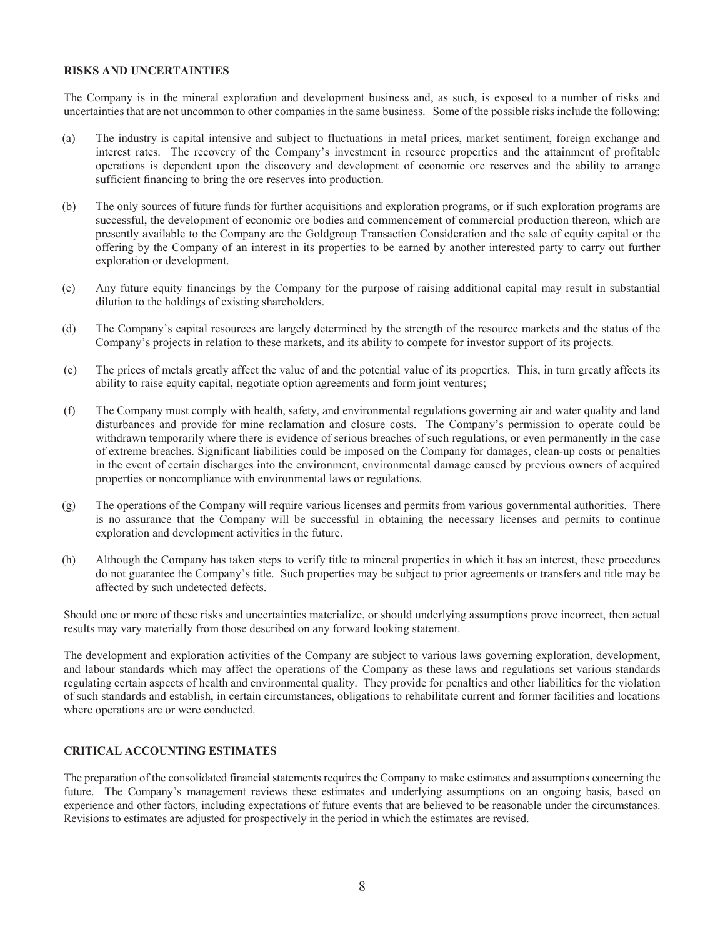### RISKS AND UNCERTAINTIES

The Company is in the mineral exploration and development business and, as such, is exposed to a number of risks and uncertainties that are not uncommon to other companies in the same business. Some of the possible risks include the following:

- (a) The industry is capital intensive and subject to fluctuations in metal prices, market sentiment, foreign exchange and interest rates. The recovery of the Company's investment in resource properties and the attainment of profitable operations is dependent upon the discovery and development of economic ore reserves and the ability to arrange sufficient financing to bring the ore reserves into production.
- (b) The only sources of future funds for further acquisitions and exploration programs, or if such exploration programs are successful, the development of economic ore bodies and commencement of commercial production thereon, which are presently available to the Company are the Goldgroup Transaction Consideration and the sale of equity capital or the offering by the Company of an interest in its properties to be earned by another interested party to carry out further exploration or development.
- (c) Any future equity financings by the Company for the purpose of raising additional capital may result in substantial dilution to the holdings of existing shareholders.
- (d) The Company's capital resources are largely determined by the strength of the resource markets and the status of the Company's projects in relation to these markets, and its ability to compete for investor support of its projects.
- (e) The prices of metals greatly affect the value of and the potential value of its properties. This, in turn greatly affects its ability to raise equity capital, negotiate option agreements and form joint ventures;
- (f) The Company must comply with health, safety, and environmental regulations governing air and water quality and land disturbances and provide for mine reclamation and closure costs. The Company's permission to operate could be withdrawn temporarily where there is evidence of serious breaches of such regulations, or even permanently in the case of extreme breaches. Significant liabilities could be imposed on the Company for damages, clean-up costs or penalties in the event of certain discharges into the environment, environmental damage caused by previous owners of acquired properties or noncompliance with environmental laws or regulations.
- (g) The operations of the Company will require various licenses and permits from various governmental authorities. There is no assurance that the Company will be successful in obtaining the necessary licenses and permits to continue exploration and development activities in the future.
- (h) Although the Company has taken steps to verify title to mineral properties in which it has an interest, these procedures do not guarantee the Company's title. Such properties may be subject to prior agreements or transfers and title may be affected by such undetected defects.

Should one or more of these risks and uncertainties materialize, or should underlying assumptions prove incorrect, then actual results may vary materially from those described on any forward looking statement.

The development and exploration activities of the Company are subject to various laws governing exploration, development, and labour standards which may affect the operations of the Company as these laws and regulations set various standards regulating certain aspects of health and environmental quality. They provide for penalties and other liabilities for the violation of such standards and establish, in certain circumstances, obligations to rehabilitate current and former facilities and locations where operations are or were conducted.

# CRITICAL ACCOUNTING ESTIMATES

The preparation of the consolidated financial statements requires the Company to make estimates and assumptions concerning the future. The Company's management reviews these estimates and underlying assumptions on an ongoing basis, based on experience and other factors, including expectations of future events that are believed to be reasonable under the circumstances. Revisions to estimates are adjusted for prospectively in the period in which the estimates are revised.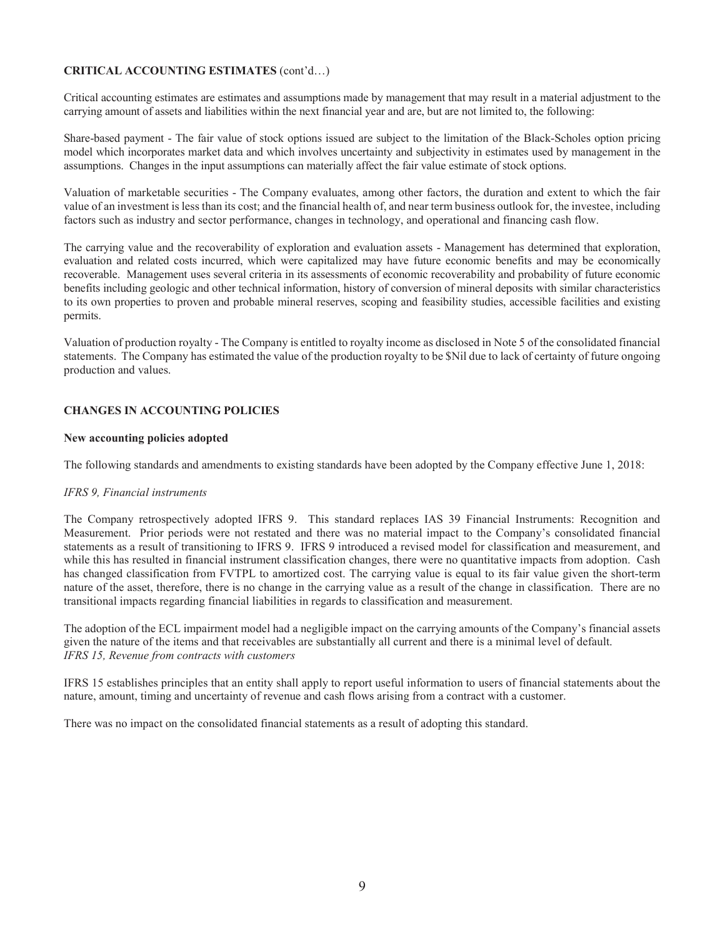# CRITICAL ACCOUNTING ESTIMATES (cont'd…)

Critical accounting estimates are estimates and assumptions made by management that may result in a material adjustment to the carrying amount of assets and liabilities within the next financial year and are, but are not limited to, the following:

Share-based payment - The fair value of stock options issued are subject to the limitation of the Black-Scholes option pricing model which incorporates market data and which involves uncertainty and subjectivity in estimates used by management in the assumptions. Changes in the input assumptions can materially affect the fair value estimate of stock options.

Valuation of marketable securities - The Company evaluates, among other factors, the duration and extent to which the fair value of an investment is less than its cost; and the financial health of, and near term business outlook for, the investee, including factors such as industry and sector performance, changes in technology, and operational and financing cash flow.

The carrying value and the recoverability of exploration and evaluation assets - Management has determined that exploration, evaluation and related costs incurred, which were capitalized may have future economic benefits and may be economically recoverable. Management uses several criteria in its assessments of economic recoverability and probability of future economic benefits including geologic and other technical information, history of conversion of mineral deposits with similar characteristics to its own properties to proven and probable mineral reserves, scoping and feasibility studies, accessible facilities and existing permits.

Valuation of production royalty - The Company is entitled to royalty income as disclosed in Note 5 of the consolidated financial statements. The Company has estimated the value of the production royalty to be \$Nil due to lack of certainty of future ongoing production and values.

# CHANGES IN ACCOUNTING POLICIES

### New accounting policies adopted

The following standards and amendments to existing standards have been adopted by the Company effective June 1, 2018:

### *IFRS 9, Financial instruments*

The Company retrospectively adopted IFRS 9. This standard replaces IAS 39 Financial Instruments: Recognition and Measurement. Prior periods were not restated and there was no material impact to the Company's consolidated financial statements as a result of transitioning to IFRS 9. IFRS 9 introduced a revised model for classification and measurement, and while this has resulted in financial instrument classification changes, there were no quantitative impacts from adoption. Cash has changed classification from FVTPL to amortized cost. The carrying value is equal to its fair value given the short-term nature of the asset, therefore, there is no change in the carrying value as a result of the change in classification. There are no transitional impacts regarding financial liabilities in regards to classification and measurement.

The adoption of the ECL impairment model had a negligible impact on the carrying amounts of the Company's financial assets given the nature of the items and that receivables are substantially all current and there is a minimal level of default. *IFRS 15, Revenue from contracts with customers* 

IFRS 15 establishes principles that an entity shall apply to report useful information to users of financial statements about the nature, amount, timing and uncertainty of revenue and cash flows arising from a contract with a customer.

There was no impact on the consolidated financial statements as a result of adopting this standard.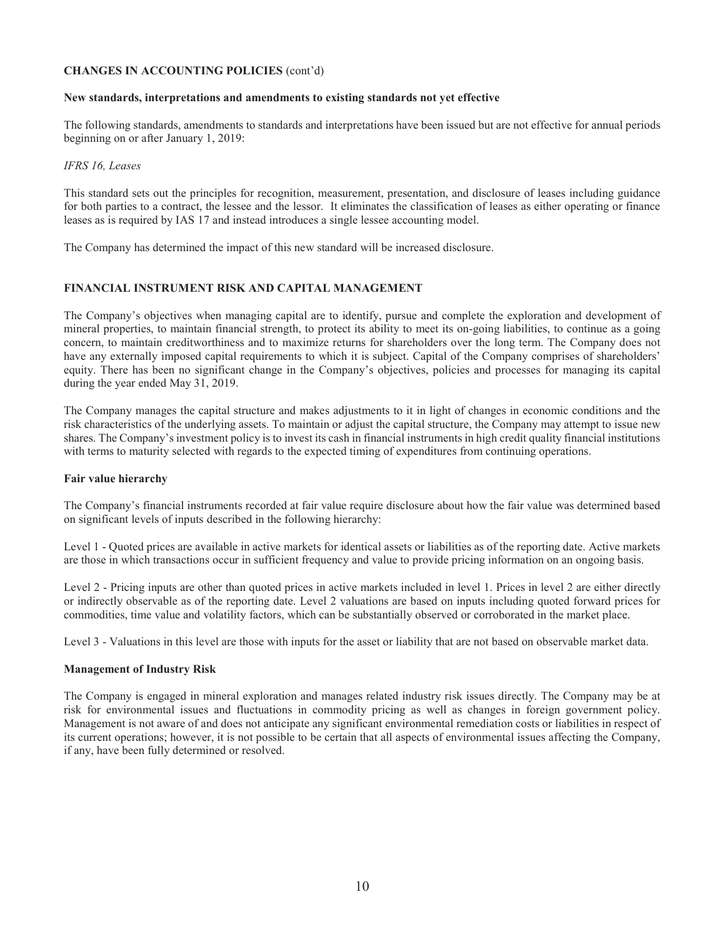# CHANGES IN ACCOUNTING POLICIES (cont'd)

### New standards, interpretations and amendments to existing standards not yet effective

The following standards, amendments to standards and interpretations have been issued but are not effective for annual periods beginning on or after January 1, 2019:

### *IFRS 16, Leases*

This standard sets out the principles for recognition, measurement, presentation, and disclosure of leases including guidance for both parties to a contract, the lessee and the lessor. It eliminates the classification of leases as either operating or finance leases as is required by IAS 17 and instead introduces a single lessee accounting model.

The Company has determined the impact of this new standard will be increased disclosure.

# FINANCIAL INSTRUMENT RISK AND CAPITAL MANAGEMENT

The Company's objectives when managing capital are to identify, pursue and complete the exploration and development of mineral properties, to maintain financial strength, to protect its ability to meet its on-going liabilities, to continue as a going concern, to maintain creditworthiness and to maximize returns for shareholders over the long term. The Company does not have any externally imposed capital requirements to which it is subject. Capital of the Company comprises of shareholders' equity. There has been no significant change in the Company's objectives, policies and processes for managing its capital during the year ended May 31, 2019.

The Company manages the capital structure and makes adjustments to it in light of changes in economic conditions and the risk characteristics of the underlying assets. To maintain or adjust the capital structure, the Company may attempt to issue new shares. The Company's investment policy is to invest its cash in financial instruments in high credit quality financial institutions with terms to maturity selected with regards to the expected timing of expenditures from continuing operations.

# Fair value hierarchy

The Company's financial instruments recorded at fair value require disclosure about how the fair value was determined based on significant levels of inputs described in the following hierarchy:

Level 1 - Quoted prices are available in active markets for identical assets or liabilities as of the reporting date. Active markets are those in which transactions occur in sufficient frequency and value to provide pricing information on an ongoing basis.

Level 2 - Pricing inputs are other than quoted prices in active markets included in level 1. Prices in level 2 are either directly or indirectly observable as of the reporting date. Level 2 valuations are based on inputs including quoted forward prices for commodities, time value and volatility factors, which can be substantially observed or corroborated in the market place.

Level 3 - Valuations in this level are those with inputs for the asset or liability that are not based on observable market data.

# Management of Industry Risk

The Company is engaged in mineral exploration and manages related industry risk issues directly. The Company may be at risk for environmental issues and fluctuations in commodity pricing as well as changes in foreign government policy. Management is not aware of and does not anticipate any significant environmental remediation costs or liabilities in respect of its current operations; however, it is not possible to be certain that all aspects of environmental issues affecting the Company, if any, have been fully determined or resolved.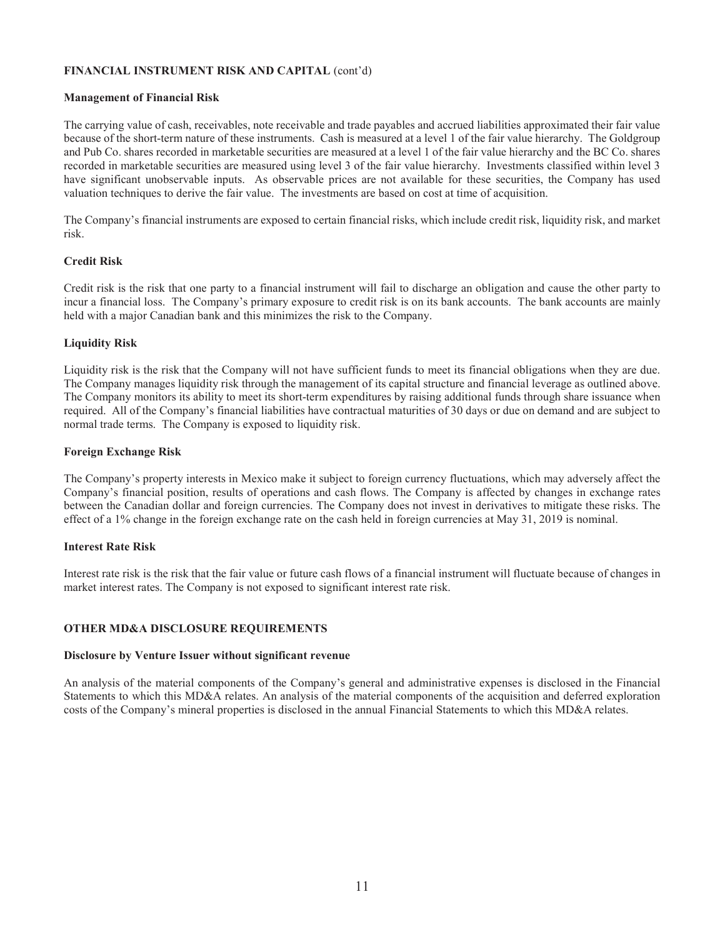# FINANCIAL INSTRUMENT RISK AND CAPITAL (cont'd)

## Management of Financial Risk

The carrying value of cash, receivables, note receivable and trade payables and accrued liabilities approximated their fair value because of the short-term nature of these instruments. Cash is measured at a level 1 of the fair value hierarchy. The Goldgroup and Pub Co. shares recorded in marketable securities are measured at a level 1 of the fair value hierarchy and the BC Co. shares recorded in marketable securities are measured using level 3 of the fair value hierarchy. Investments classified within level 3 have significant unobservable inputs. As observable prices are not available for these securities, the Company has used valuation techniques to derive the fair value. The investments are based on cost at time of acquisition.

The Company's financial instruments are exposed to certain financial risks, which include credit risk, liquidity risk, and market risk.

# Credit Risk

Credit risk is the risk that one party to a financial instrument will fail to discharge an obligation and cause the other party to incur a financial loss. The Company's primary exposure to credit risk is on its bank accounts. The bank accounts are mainly held with a major Canadian bank and this minimizes the risk to the Company.

## Liquidity Risk

Liquidity risk is the risk that the Company will not have sufficient funds to meet its financial obligations when they are due. The Company manages liquidity risk through the management of its capital structure and financial leverage as outlined above. The Company monitors its ability to meet its short-term expenditures by raising additional funds through share issuance when required. All of the Company's financial liabilities have contractual maturities of 30 days or due on demand and are subject to normal trade terms. The Company is exposed to liquidity risk.

## Foreign Exchange Risk

The Company's property interests in Mexico make it subject to foreign currency fluctuations, which may adversely affect the Company's financial position, results of operations and cash flows. The Company is affected by changes in exchange rates between the Canadian dollar and foreign currencies. The Company does not invest in derivatives to mitigate these risks. The effect of a 1% change in the foreign exchange rate on the cash held in foreign currencies at May 31, 2019 is nominal.

### Interest Rate Risk

Interest rate risk is the risk that the fair value or future cash flows of a financial instrument will fluctuate because of changes in market interest rates. The Company is not exposed to significant interest rate risk.

# OTHER MD&A DISCLOSURE REQUIREMENTS

### Disclosure by Venture Issuer without significant revenue

An analysis of the material components of the Company's general and administrative expenses is disclosed in the Financial Statements to which this MD&A relates. An analysis of the material components of the acquisition and deferred exploration costs of the Company's mineral properties is disclosed in the annual Financial Statements to which this MD&A relates.